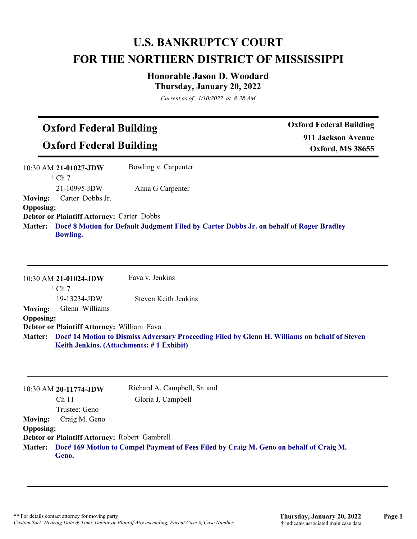## **U.S. BANKRUPTCY COURT FOR THE NORTHERN DISTRICT OF MISSISSIPPI**

### **Honorable Jason D. Woodard Thursday, January 20, 2022**

*Current as of 1/10/2022 at 8:38 AM*

# **Oxford Federal Building**

**Oxford Federal Building**

**Oxford Federal Building 911 Jackson Avenue Oxford, MS 38655**

|                  | 10:30 AM 21-01027-JDW                                                                                              | Bowling v. Carpenter |
|------------------|--------------------------------------------------------------------------------------------------------------------|----------------------|
|                  | $\dagger$ Ch 7                                                                                                     |                      |
|                  | $21-10995$ -JDW                                                                                                    | Anna G Carpenter     |
| <b>Moving:</b>   | Carter Dobbs Jr.                                                                                                   |                      |
| <b>Opposing:</b> |                                                                                                                    |                      |
|                  | <b>Debtor or Plaintiff Attorney: Carter Dobbs</b>                                                                  |                      |
|                  | Matter: Doc# 8 Motion for Default Judgment Filed by Carter Dobbs Jr. on behalf of Roger Bradley<br><b>Bowling.</b> |                      |

|                  | 10:30 AM 21-01024-JDW                                                                                 | Fava v. Jenkins      |
|------------------|-------------------------------------------------------------------------------------------------------|----------------------|
|                  | $\dagger$ Ch 7                                                                                        |                      |
|                  | $19-13234$ -JDW                                                                                       | Steven Keith Jenkins |
| Moving:          | Glenn Williams                                                                                        |                      |
| <b>Opposing:</b> |                                                                                                       |                      |
|                  | Debtor or Plaintiff Attorney: William Fava                                                            |                      |
|                  | Matter: Doc# 14 Motion to Dismiss Adversary Proceeding Filed by Glenn H. Williams on behalf of Steven |                      |
|                  | Keith Jenkins. (Attachments: #1 Exhibit)                                                              |                      |

|                                               | 10:30 AM 20-11774-JDW<br>Ch <sub>11</sub>                                                       | Richard A. Campbell, Sr. and<br>Gloria J. Campbell |
|-----------------------------------------------|-------------------------------------------------------------------------------------------------|----------------------------------------------------|
|                                               | Trustee: Geno                                                                                   |                                                    |
| <b>Moving:</b>                                | Craig M. Geno                                                                                   |                                                    |
| <b>Opposing:</b>                              |                                                                                                 |                                                    |
| Debtor or Plaintiff Attorney: Robert Gambrell |                                                                                                 |                                                    |
| <b>Matter:</b>                                | Doc# 169 Motion to Compel Payment of Fees Filed by Craig M. Geno on behalf of Craig M.<br>Geno. |                                                    |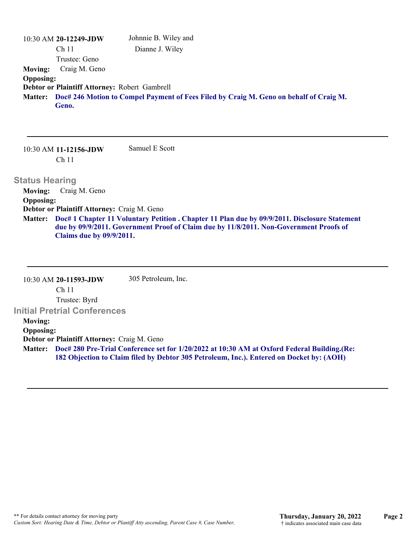10:30 AM **20-12249-JDW**  Ch 11 Trustee: Geno Johnnie B. Wiley and Dianne J. Wiley **Moving:** Craig M. Geno **Opposing: Debtor or Plaintiff Attorney:** Robert Gambrell **Doc# 246 Motion to Compel Payment of Fees Filed by Craig M. Geno on behalf of Craig M. Matter: Geno.**

10:30 AM **11-12156-JDW**  Ch 11 Samuel E Scott

**Claims due by 09/9/2011.**

**Status Hearing** 

**Moving:** Craig M. Geno **Opposing: Debtor or Plaintiff Attorney:** Craig M. Geno **Doc# 1 Chapter 11 Voluntary Petition . Chapter 11 Plan due by 09/9/2011. Disclosure Statement Matter: due by 09/9/2011. Government Proof of Claim due by 11/8/2011. Non-Government Proofs of**

10:30 AM **20-11593-JDW**  Ch 11 Trustee: Byrd **Initial Pretrial Conferences**  305 Petroleum, Inc. **Moving: Opposing: Debtor or Plaintiff Attorney:** Craig M. Geno **Doc# 280 Pre-Trial Conference set for 1/20/2022 at 10:30 AM at Oxford Federal Building.(Re: Matter: 182 Objection to Claim filed by Debtor 305 Petroleum, Inc.). Entered on Docket by: (AOH)**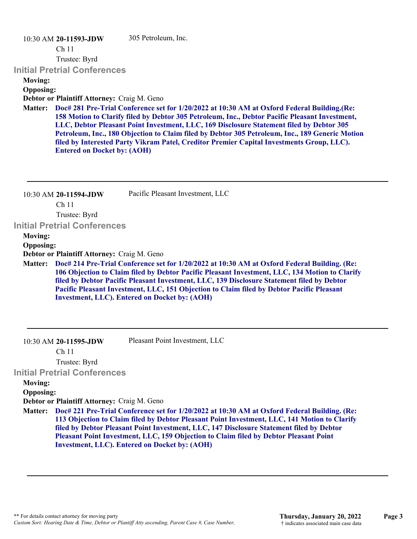#### 10:30 AM **20-11593-JDW**

305 Petroleum, Inc.

Ch 11

Trustee: Byrd

#### **Initial Pretrial Conferences**

**Moving:**

#### **Opposing:**

**Debtor or Plaintiff Attorney:** Craig M. Geno

**Doc# 281 Pre-Trial Conference set for 1/20/2022 at 10:30 AM at Oxford Federal Building.(Re: Matter: 158 Motion to Clarify filed by Debtor 305 Petroleum, Inc., Debtor Pacific Pleasant Investment, LLC, Debtor Pleasant Point Investment, LLC, 169 Disclosure Statement filed by Debtor 305 Petroleum, Inc., 180 Objection to Claim filed by Debtor 305 Petroleum, Inc., 189 Generic Motion filed by Interested Party Vikram Patel, Creditor Premier Capital Investments Group, LLC). Entered on Docket by: (AOH)**

| $10:30$ AM 20-11594-JDW | Pacific Pleasant Investment, LLC |
|-------------------------|----------------------------------|
| Ch <sub>11</sub>        |                                  |

Trustee: Byrd

**Initial Pretrial Conferences** 

**Moving:**

**Opposing:**

**Debtor or Plaintiff Attorney:** Craig M. Geno

**Doc# 214 Pre-Trial Conference set for 1/20/2022 at 10:30 AM at Oxford Federal Building. (Re: Matter: 106 Objection to Claim filed by Debtor Pacific Pleasant Investment, LLC, 134 Motion to Clarify filed by Debtor Pacific Pleasant Investment, LLC, 139 Disclosure Statement filed by Debtor Pacific Pleasant Investment, LLC, 151 Objection to Claim filed by Debtor Pacific Pleasant Investment, LLC). Entered on Docket by: (AOH)**

Pleasant Point Investment, LLC

Ch 11

Trustee: Byrd

**Initial Pretrial Conferences** 

#### **Moving:**

**Opposing:**

**Debtor or Plaintiff Attorney:** Craig M. Geno

**Doc# 221 Pre-Trial Conference set for 1/20/2022 at 10:30 AM at Oxford Federal Building. (Re: Matter: 113 Objection to Claim filed by Debtor Pleasant Point Investment, LLC, 141 Motion to Clarify filed by Debtor Pleasant Point Investment, LLC, 147 Disclosure Statement filed by Debtor Pleasant Point Investment, LLC, 159 Objection to Claim filed by Debtor Pleasant Point Investment, LLC). Entered on Docket by: (AOH)**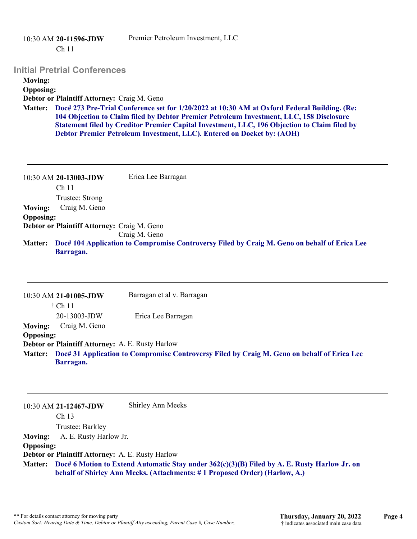|                  | $10:30$ AM 20-11596-JDW<br>Ch <sub>11</sub>                                                                                                                                                                                                                                                                                                                                | Premier Petroleum Investment, LLC |
|------------------|----------------------------------------------------------------------------------------------------------------------------------------------------------------------------------------------------------------------------------------------------------------------------------------------------------------------------------------------------------------------------|-----------------------------------|
|                  | <b>Initial Pretrial Conferences</b>                                                                                                                                                                                                                                                                                                                                        |                                   |
| <b>Moving:</b>   |                                                                                                                                                                                                                                                                                                                                                                            |                                   |
| <b>Opposing:</b> |                                                                                                                                                                                                                                                                                                                                                                            |                                   |
|                  | Debtor or Plaintiff Attorney: Craig M. Geno                                                                                                                                                                                                                                                                                                                                |                                   |
|                  | Matter: Doc# 273 Pre-Trial Conference set for 1/20/2022 at 10:30 AM at Oxford Federal Building. (Re:<br>104 Objection to Claim filed by Debtor Premier Petroleum Investment, LLC, 158 Disclosure<br>Statement filed by Creditor Premier Capital Investment, LLC, 196 Objection to Claim filed by<br>Debtor Premier Petroleum Investment, LLC). Entered on Docket by: (AOH) |                                   |

|                  | 10:30 AM 20-13003-JDW                       | Erica Lee Barragan                                                                                   |
|------------------|---------------------------------------------|------------------------------------------------------------------------------------------------------|
|                  | Ch <sub>11</sub>                            |                                                                                                      |
|                  | Trustee: Strong                             |                                                                                                      |
| <b>Moving:</b>   | Craig M. Geno                               |                                                                                                      |
| <b>Opposing:</b> |                                             |                                                                                                      |
|                  | Debtor or Plaintiff Attorney: Craig M. Geno |                                                                                                      |
|                  |                                             | Craig M. Geno                                                                                        |
|                  |                                             | Matter: Doc# 104 Application to Compromise Controversy Filed by Craig M. Geno on behalf of Erica Lee |
|                  | Barragan.                                   |                                                                                                      |

|                                                         | 10:30 AM 21-01005-JDW                                                                               | Barragan et al v. Barragan |  |
|---------------------------------------------------------|-----------------------------------------------------------------------------------------------------|----------------------------|--|
|                                                         | $\dagger$ Ch 11                                                                                     |                            |  |
|                                                         | 20-13003-JDW                                                                                        | Erica Lee Barragan         |  |
| <b>Moving:</b>                                          | Craig M. Geno                                                                                       |                            |  |
| <b>Opposing:</b>                                        |                                                                                                     |                            |  |
| <b>Debtor or Plaintiff Attorney: A. E. Rusty Harlow</b> |                                                                                                     |                            |  |
|                                                         | Matter: Doc# 31 Application to Compromise Controversy Filed by Craig M. Geno on behalf of Erica Lee |                            |  |
|                                                         | Barragan.                                                                                           |                            |  |

|                  | 10:30 AM 21-12467-JDW                                                                                                                                                              | Shirley Ann Meeks |
|------------------|------------------------------------------------------------------------------------------------------------------------------------------------------------------------------------|-------------------|
|                  | Ch <sub>13</sub>                                                                                                                                                                   |                   |
|                  | Trustee: Barkley                                                                                                                                                                   |                   |
| <b>Moving:</b>   | A. E. Rusty Harlow Jr.                                                                                                                                                             |                   |
| <b>Opposing:</b> |                                                                                                                                                                                    |                   |
|                  | Debtor or Plaintiff Attorney: A. E. Rusty Harlow                                                                                                                                   |                   |
|                  | Matter: Doc# 6 Motion to Extend Automatic Stay under 362(c)(3)(B) Filed by A. E. Rusty Harlow Jr. on<br>behalf of Shirley Ann Meeks. (Attachments: #1 Proposed Order) (Harlow, A.) |                   |